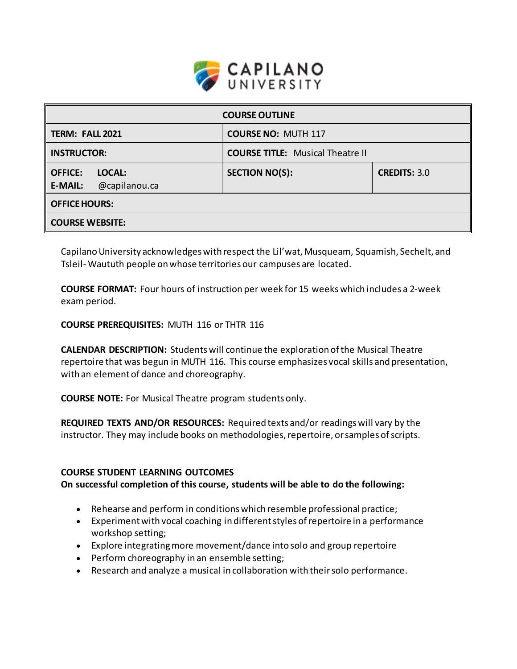

| <b>COURSE OUTLINE</b>                                       |                                         |                     |  |  |
|-------------------------------------------------------------|-----------------------------------------|---------------------|--|--|
| TERM: FALL 2021                                             | <b>COURSE NO: MUTH 117</b>              |                     |  |  |
| <b>INSTRUCTOR:</b>                                          | <b>COURSE TITLE:</b> Musical Theatre II |                     |  |  |
| <b>OFFICE:</b><br>LOCAL:<br>@capilanou.ca<br><b>E-MAIL:</b> | <b>SECTION NO(S):</b>                   | <b>CREDITS: 3.0</b> |  |  |
| <b>OFFICE HOURS:</b>                                        |                                         |                     |  |  |
| <b>COURSE WEBSITE:</b>                                      |                                         |                     |  |  |

Capilano University acknowledges with respect the Lil'wat, Musqueam, Squamish, Sechelt, and Tsleil- Waututh people on whose territories our campuses are located.

**COURSE FORMAT:** Four hours of instruction per week for 15 weeks which includes a 2-week exam period.

**COURSE PREREQUISITES:** MUTH 116 or THTR 116

**CALENDAR DESCRIPTION:** Students will continue the exploration of the Musical Theatre repertoire that was begun in MUTH 116. This course emphasizes vocal skills and presentation, with an element of dance and choreography.

**COURSE NOTE:** For Musical Theatre program students only.

**REQUIRED TEXTS AND/OR RESOURCES:** Required texts and/or readings will vary by the instructor. They may include books on methodologies, repertoire, or samples of scripts.

#### **COURSE STUDENT LEARNING OUTCOMES**

**On successful completion of this course, students will be able to do the following:** 

- Rehearse and perform in conditions which resemble professional practice;
- Experiment with vocal coaching in different styles of repertoire in a performance workshop setting;
- Explore integrating more movement/dance into solo and group repertoire
- Perform choreography in an ensemble setting;
- Research and analyze a musical in collaboration with their solo performance.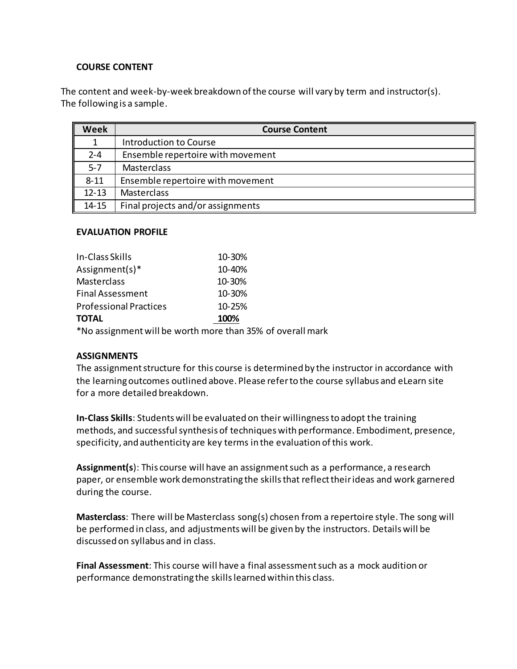### **COURSE CONTENT**

The content and week-by-week breakdown of the course will vary by term and instructor(s). The following is a sample.

| Week      | <b>Course Content</b>             |  |
|-----------|-----------------------------------|--|
|           | Introduction to Course            |  |
| $2 - 4$   | Ensemble repertoire with movement |  |
| $5 - 7$   | Masterclass                       |  |
| $8 - 11$  | Ensemble repertoire with movement |  |
| $12 - 13$ | Masterclass                       |  |
| $14 - 15$ | Final projects and/or assignments |  |

### **EVALUATION PROFILE**

| In-Class Skills                                            | 10-30% |  |  |  |
|------------------------------------------------------------|--------|--|--|--|
| Assignment(s) $*$                                          | 10-40% |  |  |  |
| Masterclass                                                | 10-30% |  |  |  |
| <b>Final Assessment</b>                                    | 10-30% |  |  |  |
| <b>Professional Practices</b>                              | 10-25% |  |  |  |
| <b>TOTAL</b>                                               | 100%   |  |  |  |
| *No assignment will be worth more than 35% of overall mark |        |  |  |  |

#### **ASSIGNMENTS**

The assignment structure for this course is determined by the instructor in accordance with the learning outcomes outlined above. Please refer to the course syllabus and eLearn site for a more detailed breakdown.

**In-Class Skills**: Students will be evaluated on their willingness to adopt the training methods, and successful synthesis of techniques with performance. Embodiment, presence, specificity, and authenticity are key terms in the evaluation of this work.

**Assignment(s**): This course will have an assignment such as a performance, a research paper, or ensemble work demonstrating the skills that reflect their ideas and work garnered during the course.

**Masterclass**: There will be Masterclass song(s) chosen from a repertoire style. The song will be performed in class, and adjustments will be given by the instructors. Details will be discussed on syllabus and in class.

**Final Assessment**: This course will have a final assessment such as a mock audition or performance demonstrating the skills learned within this class.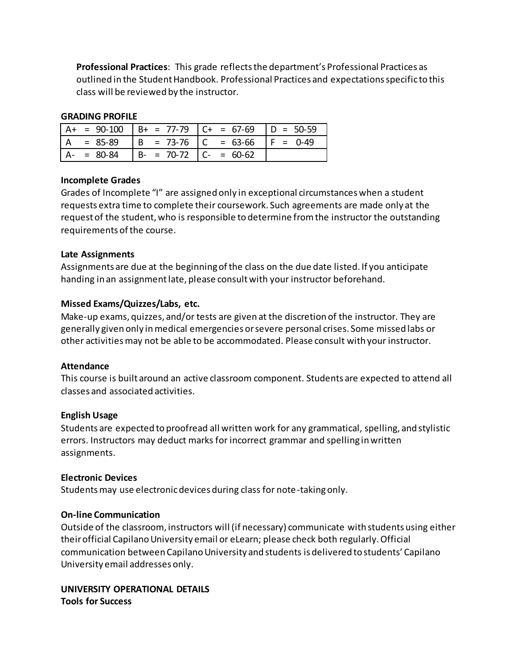**Professional Practices**: This grade reflects the department's Professional Practices as outlined in the Student Handbook. Professional Practices and expectations specific to this class will be reviewed by the instructor.

### **GRADING PROFILE**

| $= 90-100$      |                             | $\vert B+$ = 77-79   C+ = 67-69   D = 50-59 |             |
|-----------------|-----------------------------|---------------------------------------------|-------------|
| $= 85-89$       | $  B = 73-76   C = 63-66$   |                                             | $IF = 0-49$ |
| $A - = 80 - 84$ | $B - = 70-72$ $C - = 60-62$ |                                             |             |

## **Incomplete Grades**

Grades of Incomplete "I" are assigned only in exceptional circumstances when a student requests extra time to complete their coursework. Such agreements are made only at the request of the student, who is responsible to determine from the instructor the outstanding requirements of the course.

### **Late Assignments**

Assignments are due at the beginning of the class on the due date listed. If you anticipate handing in an assignment late, please consult with your instructor beforehand.

## **Missed Exams/Quizzes/Labs, etc.**

Make-up exams, quizzes, and/or tests are given at the discretion of the instructor. They are generally given only in medical emergencies or severe personal crises. Some missed labs or other activities may not be able to be accommodated. Please consult with your instructor.

#### **Attendance**

This course is built around an active classroom component. Students are expected to attend all classes and associated activities.

#### **English Usage**

Students are expected to proofread all written work for any grammatical, spelling, and stylistic errors. Instructors may deduct marks for incorrect grammar and spelling in written assignments.

#### **Electronic Devices**

Students may use electronic devices during class for note-taking only.

## **On-line Communication**

Outside of the classroom, instructors will (if necessary) communicate with students using either their official Capilano University email or eLearn; please check both regularly. Official communication between Capilano University and students is delivered to students' Capilano University email addresses only.

## **UNIVERSITY OPERATIONAL DETAILS Tools for Success**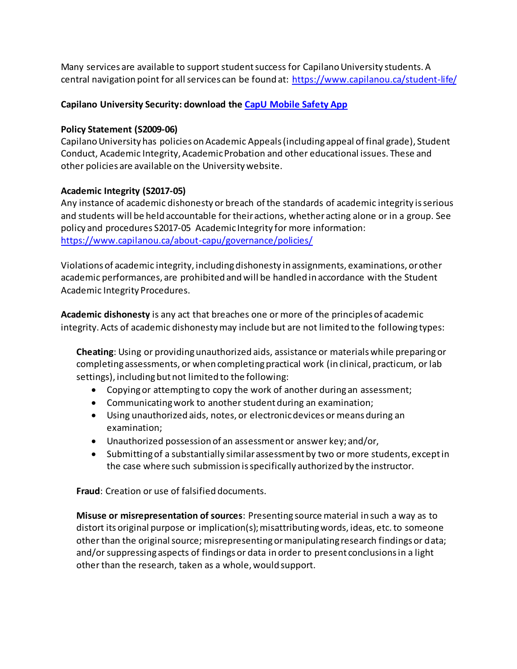Many services are available to support student success for Capilano University students. A central navigation point for all services can be found at:<https://www.capilanou.ca/student-life/>

# **Capilano University Security: download the [CapU Mobile Safety App](https://www.capilanou.ca/student-life/support--wellness/safety--security/capu-safe-app/)**

## **Policy Statement (S2009-06)**

Capilano University has policies on Academic Appeals (including appeal of final grade), Student Conduct, Academic Integrity, Academic Probation and other educational issues. These and other policies are available on the University website.

# **Academic Integrity (S2017-05)**

Any instance of academic dishonesty or breach of the standards of academic integrity is serious and students will be held accountable for their actions, whether acting alone or in a group. See policy and procedures S2017-05 Academic Integrity for more information: <https://www.capilanou.ca/about-capu/governance/policies/>

Violations of academic integrity, including dishonesty in assignments, examinations, or other academic performances, are prohibited and will be handled in accordance with the Student Academic Integrity Procedures.

**Academic dishonesty** is any act that breaches one or more of the principles of academic integrity. Acts of academic dishonesty may include but are not limited to the following types:

**Cheating**: Using or providing unauthorized aids, assistance or materials while preparing or completing assessments, or when completing practical work (in clinical, practicum, or lab settings), including but not limited to the following:

- Copying or attempting to copy the work of another during an assessment;
- Communicating work to another student during an examination;
- Using unauthorized aids, notes, or electronic devices or means during an examination;
- Unauthorized possession of an assessment or answer key; and/or,
- Submitting of a substantially similar assessment by two or more students, except in the case where such submission is specifically authorized by the instructor.

**Fraud**: Creation or use of falsified documents.

**Misuse or misrepresentation of sources**: Presenting source material in such a way as to distort its original purpose or implication(s); misattributing words, ideas, etc. to someone other than the original source; misrepresenting or manipulating research findings or data; and/or suppressing aspects of findings or data in order to present conclusions in a light other than the research, taken as a whole, would support.